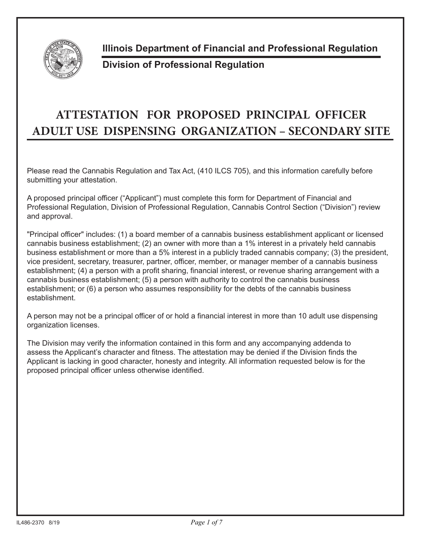

**Illinois Department of Financial and Professional Regulation**

## **Division of Professional Regulation**

## **ATTESTATION FOR PROPOSED PRINCIPAL OFFICER ADULT USE DISPENSING ORGANIZATION – SECONDARY SITE**

Please read the Cannabis Regulation and Tax Act, (410 ILCS 705), and this information carefully before submitting your attestation.

A proposed principal officer ("Applicant") must complete this form for Department of Financial and Professional Regulation, Division of Professional Regulation, Cannabis Control Section ("Division") review and approval.

"Principal officer" includes: (1) a board member of a cannabis business establishment applicant or licensed cannabis business establishment; (2) an owner with more than a 1% interest in a privately held cannabis business establishment or more than a 5% interest in a publicly traded cannabis company; (3) the president, vice president, secretary, treasurer, partner, officer, member, or manager member of a cannabis business establishment; (4) a person with a profit sharing, financial interest, or revenue sharing arrangement with a cannabis business establishment; (5) a person with authority to control the cannabis business establishment; or (6) a person who assumes responsibility for the debts of the cannabis business establishment.

A person may not be a principal officer of or hold a financial interest in more than 10 adult use dispensing organization licenses.

The Division may verify the information contained in this form and any accompanying addenda to assess the Applicant's character and fitness. The attestation may be denied if the Division finds the Applicant is lacking in good character, honesty and integrity. All information requested below is for the proposed principal officer unless otherwise identified.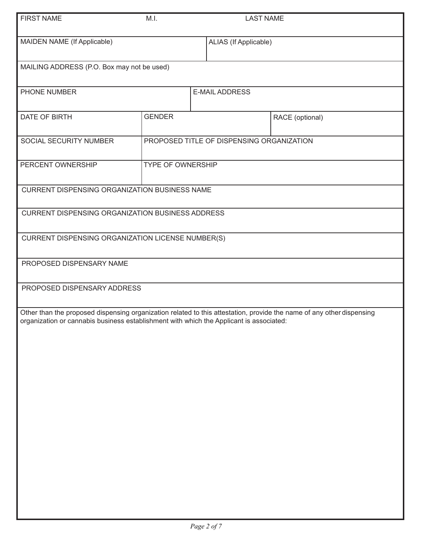| <b>FIRST NAME</b>                                                                       | M.I.                  | <b>LAST NAME</b>                          |                                                                                                                       |
|-----------------------------------------------------------------------------------------|-----------------------|-------------------------------------------|-----------------------------------------------------------------------------------------------------------------------|
| MAIDEN NAME (If Applicable)                                                             | ALIAS (If Applicable) |                                           |                                                                                                                       |
| MAILING ADDRESS (P.O. Box may not be used)                                              |                       |                                           |                                                                                                                       |
| PHONE NUMBER                                                                            | <b>E-MAIL ADDRESS</b> |                                           |                                                                                                                       |
| DATE OF BIRTH                                                                           | <b>GENDER</b>         |                                           | RACE (optional)                                                                                                       |
| SOCIAL SECURITY NUMBER                                                                  |                       | PROPOSED TITLE OF DISPENSING ORGANIZATION |                                                                                                                       |
| PERCENT OWNERSHIP                                                                       | TYPE OF OWNERSHIP     |                                           |                                                                                                                       |
| CURRENT DISPENSING ORGANIZATION BUSINESS NAME                                           |                       |                                           |                                                                                                                       |
| CURRENT DISPENSING ORGANIZATION BUSINESS ADDRESS                                        |                       |                                           |                                                                                                                       |
| CURRENT DISPENSING ORGANIZATION LICENSE NUMBER(S)                                       |                       |                                           |                                                                                                                       |
| PROPOSED DISPENSARY NAME                                                                |                       |                                           |                                                                                                                       |
| PROPOSED DISPENSARY ADDRESS                                                             |                       |                                           |                                                                                                                       |
| organization or cannabis business establishment with which the Applicant is associated: |                       |                                           | Other than the proposed dispensing organization related to this attestation, provide the name of any other dispensing |
|                                                                                         |                       |                                           |                                                                                                                       |
|                                                                                         |                       |                                           |                                                                                                                       |
|                                                                                         |                       |                                           |                                                                                                                       |
|                                                                                         |                       |                                           |                                                                                                                       |
|                                                                                         |                       |                                           |                                                                                                                       |
|                                                                                         |                       |                                           |                                                                                                                       |
|                                                                                         |                       |                                           |                                                                                                                       |
|                                                                                         |                       |                                           |                                                                                                                       |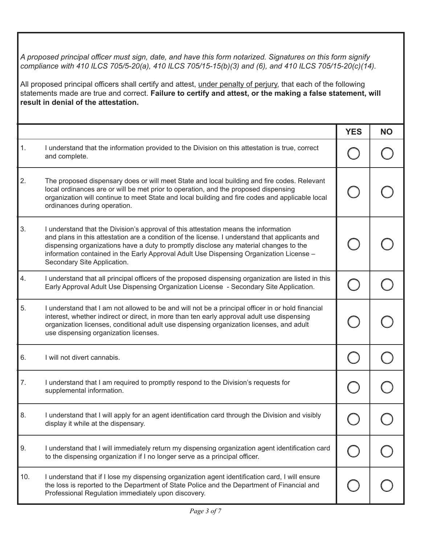*A proposed principal officer must sign, date, and have this form notarized. Signatures on this form signify compliance with 410 ILCS 705/5-20(a), 410 ILCS 705/15-15(b)(3) and (6), and 410 ILCS 705/15-20(c)(14).* 

All proposed principal officers shall certify and attest, under penalty of perjury, that each of the following statements made are true and correct. **Failure to certify and attest, or the making a false statement, will result in denial of the attestation.**

|     |                                                                                                                                                                                                                                                                                                                                                                                                          | <b>YES</b> | <b>NO</b> |
|-----|----------------------------------------------------------------------------------------------------------------------------------------------------------------------------------------------------------------------------------------------------------------------------------------------------------------------------------------------------------------------------------------------------------|------------|-----------|
| 1.  | I understand that the information provided to the Division on this attestation is true, correct<br>and complete.                                                                                                                                                                                                                                                                                         |            |           |
| 2.  | The proposed dispensary does or will meet State and local building and fire codes. Relevant<br>local ordinances are or will be met prior to operation, and the proposed dispensing<br>organization will continue to meet State and local building and fire codes and applicable local<br>ordinances during operation.                                                                                    |            |           |
| 3.  | I understand that the Division's approval of this attestation means the information<br>and plans in this attestation are a condition of the license. I understand that applicants and<br>dispensing organizations have a duty to promptly disclose any material changes to the<br>information contained in the Early Approval Adult Use Dispensing Organization License -<br>Secondary Site Application. |            |           |
| 4.  | I understand that all principal officers of the proposed dispensing organization are listed in this<br>Early Approval Adult Use Dispensing Organization License - Secondary Site Application.                                                                                                                                                                                                            |            |           |
| 5.  | I understand that I am not allowed to be and will not be a principal officer in or hold financial<br>interest, whether indirect or direct, in more than ten early approval adult use dispensing<br>organization licenses, conditional adult use dispensing organization licenses, and adult<br>use dispensing organization licenses.                                                                     |            |           |
| 6.  | I will not divert cannabis.                                                                                                                                                                                                                                                                                                                                                                              |            |           |
| 7.  | I understand that I am required to promptly respond to the Division's requests for<br>supplemental information.                                                                                                                                                                                                                                                                                          |            |           |
| 8.  | I understand that I will apply for an agent identification card through the Division and visibly<br>display it while at the dispensary.                                                                                                                                                                                                                                                                  |            |           |
| 9.  | I understand that I will immediately return my dispensing organization agent identification card<br>to the dispensing organization if I no longer serve as a principal officer.                                                                                                                                                                                                                          |            |           |
| 10. | I understand that if I lose my dispensing organization agent identification card, I will ensure<br>the loss is reported to the Department of State Police and the Department of Financial and<br>Professional Regulation immediately upon discovery.                                                                                                                                                     |            |           |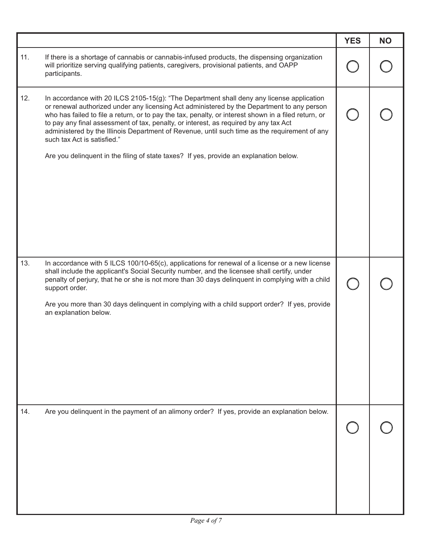|     |                                                                                                                                                                                                                                                                                                                                                                                                                                                                                                                                                                                                                   | <b>YES</b> | <b>NO</b> |
|-----|-------------------------------------------------------------------------------------------------------------------------------------------------------------------------------------------------------------------------------------------------------------------------------------------------------------------------------------------------------------------------------------------------------------------------------------------------------------------------------------------------------------------------------------------------------------------------------------------------------------------|------------|-----------|
| 11. | If there is a shortage of cannabis or cannabis-infused products, the dispensing organization<br>will prioritize serving qualifying patients, caregivers, provisional patients, and OAPP<br>participants.                                                                                                                                                                                                                                                                                                                                                                                                          |            |           |
| 12. | In accordance with 20 ILCS 2105-15(g): "The Department shall deny any license application<br>or renewal authorized under any licensing Act administered by the Department to any person<br>who has failed to file a return, or to pay the tax, penalty, or interest shown in a filed return, or<br>to pay any final assessment of tax, penalty, or interest, as required by any tax Act<br>administered by the Illinois Department of Revenue, until such time as the requirement of any<br>such tax Act is satisfied."<br>Are you delinquent in the filing of state taxes? If yes, provide an explanation below. |            |           |
| 13. | In accordance with 5 ILCS 100/10-65(c), applications for renewal of a license or a new license<br>shall include the applicant's Social Security number, and the licensee shall certify, under<br>penalty of perjury, that he or she is not more than 30 days delinquent in complying with a child<br>support order.<br>Are you more than 30 days delinquent in complying with a child support order? If yes, provide<br>an explanation below.                                                                                                                                                                     |            |           |
| 14. | Are you delinquent in the payment of an alimony order? If yes, provide an explanation below.                                                                                                                                                                                                                                                                                                                                                                                                                                                                                                                      |            |           |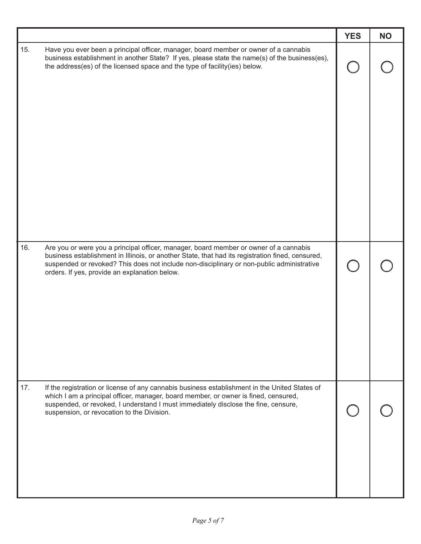|     |                                                                                                                                                                                                                                                                                                                                         | <b>YES</b> | <b>NO</b> |
|-----|-----------------------------------------------------------------------------------------------------------------------------------------------------------------------------------------------------------------------------------------------------------------------------------------------------------------------------------------|------------|-----------|
| 15. | Have you ever been a principal officer, manager, board member or owner of a cannabis<br>business establishment in another State? If yes, please state the name(s) of the business(es),<br>the address(es) of the licensed space and the type of facility(ies) below.                                                                    |            |           |
| 16. | Are you or were you a principal officer, manager, board member or owner of a cannabis<br>business establishment in Illinois, or another State, that had its registration fined, censured,<br>suspended or revoked? This does not include non-disciplinary or non-public administrative<br>orders. If yes, provide an explanation below. |            |           |
| 17. | If the registration or license of any cannabis business establishment in the United States of<br>which I am a principal officer, manager, board member, or owner is fined, censured,<br>suspended, or revoked, I understand I must immediately disclose the fine, censure,<br>suspension, or revocation to the Division.                |            |           |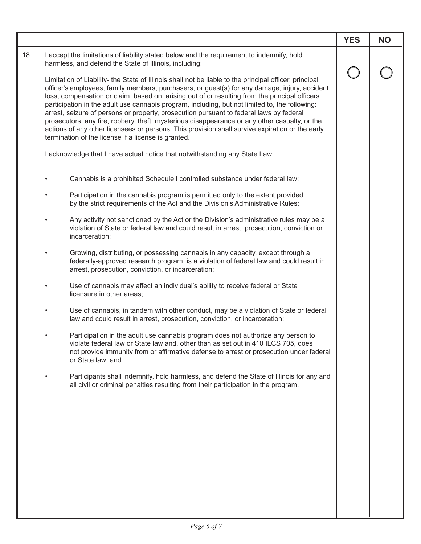|     |                                                                                                                                                                                                                                                                                                                                                                                                                                                                                                                                                                                                                                                                                                                                                                    | <b>YES</b> | <b>NO</b> |
|-----|--------------------------------------------------------------------------------------------------------------------------------------------------------------------------------------------------------------------------------------------------------------------------------------------------------------------------------------------------------------------------------------------------------------------------------------------------------------------------------------------------------------------------------------------------------------------------------------------------------------------------------------------------------------------------------------------------------------------------------------------------------------------|------------|-----------|
| 18. | I accept the limitations of liability stated below and the requirement to indemnify, hold<br>harmless, and defend the State of Illinois, including:                                                                                                                                                                                                                                                                                                                                                                                                                                                                                                                                                                                                                |            |           |
|     | Limitation of Liability- the State of Illinois shall not be liable to the principal officer, principal<br>officer's employees, family members, purchasers, or guest(s) for any damage, injury, accident,<br>loss, compensation or claim, based on, arising out of or resulting from the principal officers<br>participation in the adult use cannabis program, including, but not limited to, the following:<br>arrest, seizure of persons or property, prosecution pursuant to federal laws by federal<br>prosecutors, any fire, robbery, theft, mysterious disappearance or any other casualty, or the<br>actions of any other licensees or persons. This provision shall survive expiration or the early<br>termination of the license if a license is granted. |            |           |
|     | I acknowledge that I have actual notice that notwithstanding any State Law:                                                                                                                                                                                                                                                                                                                                                                                                                                                                                                                                                                                                                                                                                        |            |           |
|     | Cannabis is a prohibited Schedule I controlled substance under federal law;                                                                                                                                                                                                                                                                                                                                                                                                                                                                                                                                                                                                                                                                                        |            |           |
|     | Participation in the cannabis program is permitted only to the extent provided<br>$\bullet$<br>by the strict requirements of the Act and the Division's Administrative Rules;                                                                                                                                                                                                                                                                                                                                                                                                                                                                                                                                                                                      |            |           |
|     | Any activity not sanctioned by the Act or the Division's administrative rules may be a<br>٠<br>violation of State or federal law and could result in arrest, prosecution, conviction or<br>incarceration;                                                                                                                                                                                                                                                                                                                                                                                                                                                                                                                                                          |            |           |
|     | Growing, distributing, or possessing cannabis in any capacity, except through a<br>٠<br>federally-approved research program, is a violation of federal law and could result in<br>arrest, prosecution, conviction, or incarceration;                                                                                                                                                                                                                                                                                                                                                                                                                                                                                                                               |            |           |
|     | Use of cannabis may affect an individual's ability to receive federal or State<br>$\bullet$<br>licensure in other areas;                                                                                                                                                                                                                                                                                                                                                                                                                                                                                                                                                                                                                                           |            |           |
|     | Use of cannabis, in tandem with other conduct, may be a violation of State or federal<br>$\bullet$<br>law and could result in arrest, prosecution, conviction, or incarceration;                                                                                                                                                                                                                                                                                                                                                                                                                                                                                                                                                                                   |            |           |
|     | Participation in the adult use cannabis program does not authorize any person to<br>violate federal law or State law and, other than as set out in 410 ILCS 705, does<br>not provide immunity from or affirmative defense to arrest or prosecution under federal<br>or State law; and                                                                                                                                                                                                                                                                                                                                                                                                                                                                              |            |           |
|     | Participants shall indemnify, hold harmless, and defend the State of Illinois for any and<br>all civil or criminal penalties resulting from their participation in the program.                                                                                                                                                                                                                                                                                                                                                                                                                                                                                                                                                                                    |            |           |
|     |                                                                                                                                                                                                                                                                                                                                                                                                                                                                                                                                                                                                                                                                                                                                                                    |            |           |
|     |                                                                                                                                                                                                                                                                                                                                                                                                                                                                                                                                                                                                                                                                                                                                                                    |            |           |
|     |                                                                                                                                                                                                                                                                                                                                                                                                                                                                                                                                                                                                                                                                                                                                                                    |            |           |
|     |                                                                                                                                                                                                                                                                                                                                                                                                                                                                                                                                                                                                                                                                                                                                                                    |            |           |
|     |                                                                                                                                                                                                                                                                                                                                                                                                                                                                                                                                                                                                                                                                                                                                                                    |            |           |
|     |                                                                                                                                                                                                                                                                                                                                                                                                                                                                                                                                                                                                                                                                                                                                                                    |            |           |